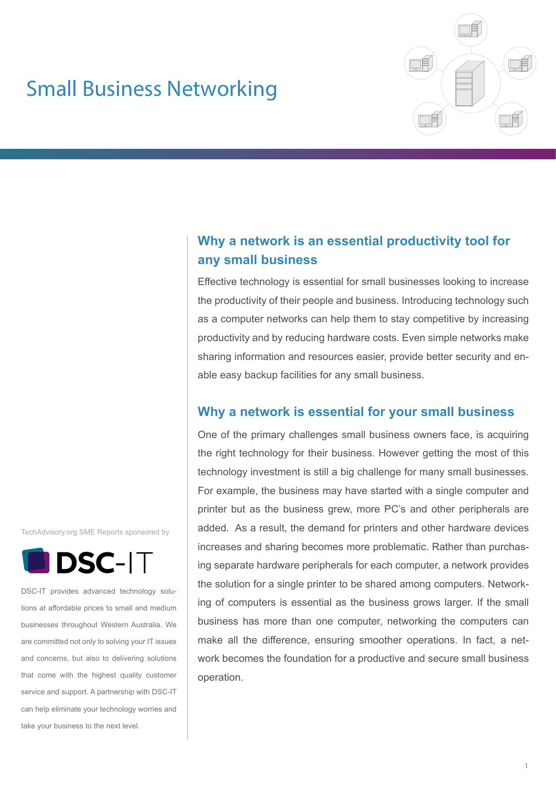# Small Business Networking



# **Why a network is an essential productivity tool for any small business**

Effective technology is essential for small businesses looking to increase the productivity of their people and business. Introducing technology such as a computer networks can help them to stay competitive by increasing productivity and by reducing hardware costs. Even simple networks make sharing information and resources easier, provide better security and enable easy backup facilities for any small business.

# **Why a network is essential for your small business**

One of the primary challenges small business owners face, is acquiring the right technology for their business. However getting the most of this technology investment is still a big challenge for many small businesses. For example, the business may have started with a single computer and printer but as the business grew, more PC's and other peripherals are added. As a result, the demand for printers and other hardware devices increases and sharing becomes more problematic. Rather than purchasing separate hardware peripherals for each computer, a network provides the solution for a single printer to be shared among computers. Networking of computers is essential as the business grows larger. If the small business has more than one computer, networking the computers can make all the difference, ensuring smoother operations. In fact, a network becomes the foundation for a productive and secure small business operation.

TechAdvisory.org SME Reports sponsored by



DSC-IT provides advanced technology solutions at affordable prices to small and medium businesses throughout Western Australia. We are committed not only to solving your IT issues and concerns, but also to delivering solutions that come with the highest quality customer service and support. A partnership with DSC-IT can help eliminate your technology worries and take your business to the next level.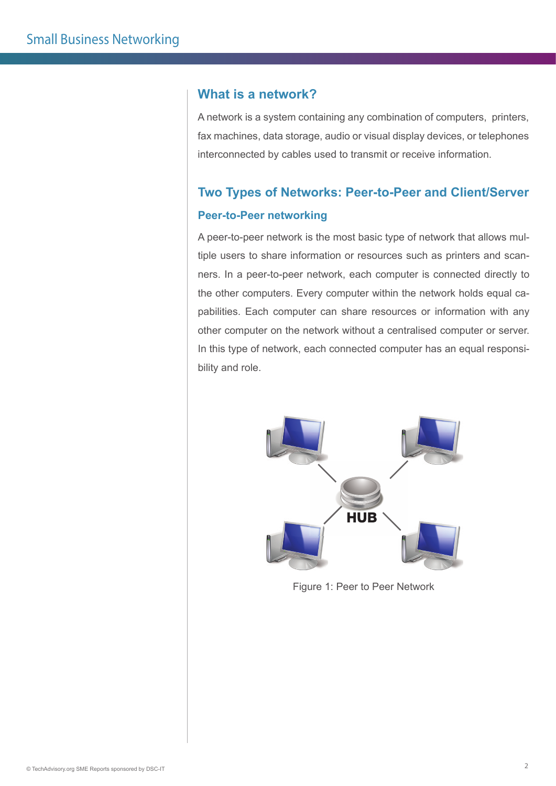#### **What is a network?**

A network is a system containing any combination of computers, printers, fax machines, data storage, audio or visual display devices, or telephones interconnected by cables used to transmit or receive information.

# **Two Types of Networks: Peer-to-Peer and Client/Server Peer-to-Peer networking**

A peer-to-peer network is the most basic type of network that allows multiple users to share information or resources such as printers and scanners. In a peer-to-peer network, each computer is connected directly to the other computers. Every computer within the network holds equal capabilities. Each computer can share resources or information with any other computer on the network without a centralised computer or server. In this type of network, each connected computer has an equal responsibility and role.



Figure 1: Peer to Peer Network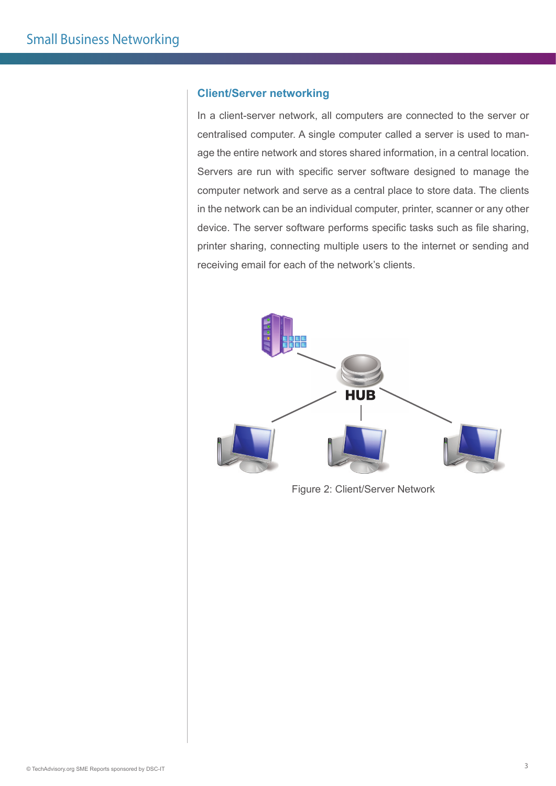#### **Client/Server networking**

In a client-server network, all computers are connected to the server or centralised computer. A single computer called a server is used to manage the entire network and stores shared information, in a central location. Servers are run with specific server software designed to manage the computer network and serve as a central place to store data. The clients in the network can be an individual computer, printer, scanner or any other device. The server software performs specific tasks such as file sharing, printer sharing, connecting multiple users to the internet or sending and receiving email for each of the network's clients.



Figure 2: Client/Server Network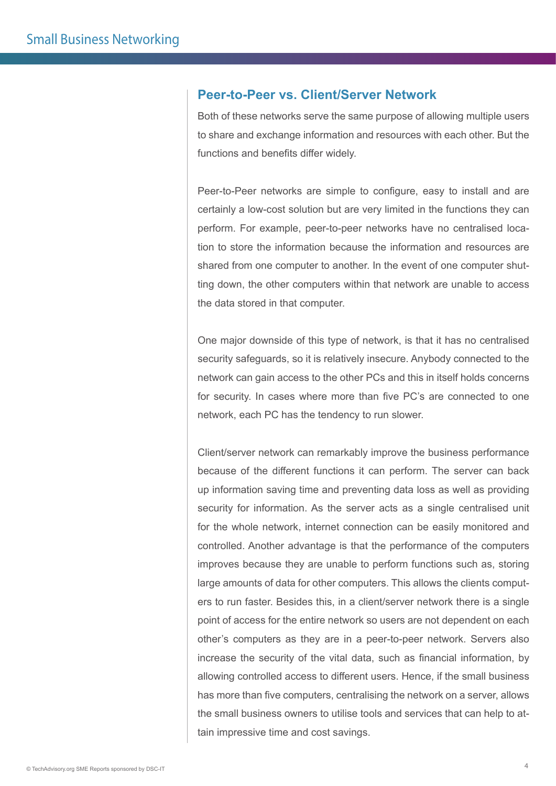#### **Peer-to-Peer vs. Client/Server Network**

Both of these networks serve the same purpose of allowing multiple users to share and exchange information and resources with each other. But the functions and benefits differ widely.

Peer-to-Peer networks are simple to configure, easy to install and are certainly a low-cost solution but are very limited in the functions they can perform. For example, peer-to-peer networks have no centralised location to store the information because the information and resources are shared from one computer to another. In the event of one computer shutting down, the other computers within that network are unable to access the data stored in that computer.

One major downside of this type of network, is that it has no centralised security safeguards, so it is relatively insecure. Anybody connected to the network can gain access to the other PCs and this in itself holds concerns for security. In cases where more than five PC's are connected to one network, each PC has the tendency to run slower.

Client/server network can remarkably improve the business performance because of the different functions it can perform. The server can back up information saving time and preventing data loss as well as providing security for information. As the server acts as a single centralised unit for the whole network, internet connection can be easily monitored and controlled. Another advantage is that the performance of the computers improves because they are unable to perform functions such as, storing large amounts of data for other computers. This allows the clients computers to run faster. Besides this, in a client/server network there is a single point of access for the entire network so users are not dependent on each other's computers as they are in a peer-to-peer network. Servers also increase the security of the vital data, such as financial information, by allowing controlled access to different users. Hence, if the small business has more than five computers, centralising the network on a server, allows the small business owners to utilise tools and services that can help to attain impressive time and cost savings.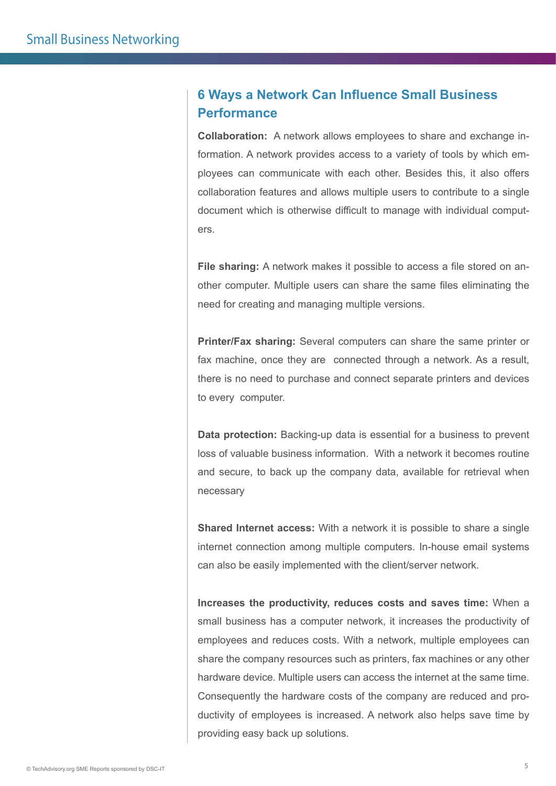# **6 Ways a Network Can Influence Small Business Performance**

**Collaboration:** A network allows employees to share and exchange information. A network provides access to a variety of tools by which employees can communicate with each other. Besides this, it also offers collaboration features and allows multiple users to contribute to a single document which is otherwise difficult to manage with individual computers.

**File sharing:** A network makes it possible to access a file stored on another computer. Multiple users can share the same files eliminating the need for creating and managing multiple versions.

**Printer/Fax sharing:** Several computers can share the same printer or fax machine, once they are connected through a network. As a result, there is no need to purchase and connect separate printers and devices to every computer.

**Data protection:** Backing-up data is essential for a business to prevent loss of valuable business information. With a network it becomes routine and secure, to back up the company data, available for retrieval when necessary

**Shared Internet access:** With a network it is possible to share a single internet connection among multiple computers. In-house email systems can also be easily implemented with the client/server network.

**Increases the productivity, reduces costs and saves time:** When a small business has a computer network, it increases the productivity of employees and reduces costs. With a network, multiple employees can share the company resources such as printers, fax machines or any other hardware device. Multiple users can access the internet at the same time. Consequently the hardware costs of the company are reduced and productivity of employees is increased. A network also helps save time by providing easy back up solutions.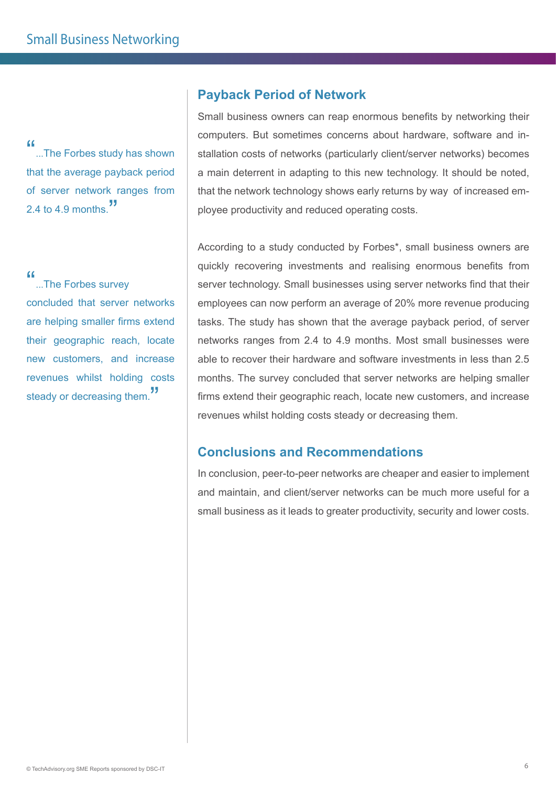"...The Forbes study has shown" that the average payback period of server network ranges from 2.4 to 4.9 months

"...The Forbes survey" concluded that server networks are helping smaller firms extend their geographic reach, locate new customers, and increase revenues whilst holding costs steady or decreasing them.<sup>"</sup>

# **Payback Period of Network**

Small business owners can reap enormous benefits by networking their computers. But sometimes concerns about hardware, software and installation costs of networks (particularly client/server networks) becomes a main deterrent in adapting to this new technology. It should be noted, that the network technology shows early returns by way of increased employee productivity and reduced operating costs.

According to a study conducted by Forbes\*, small business owners are quickly recovering investments and realising enormous benefits from server technology. Small businesses using server networks find that their employees can now perform an average of 20% more revenue producing tasks. The study has shown that the average payback period, of server networks ranges from 2.4 to 4.9 months. Most small businesses were able to recover their hardware and software investments in less than 2.5 months. The survey concluded that server networks are helping smaller firms extend their geographic reach, locate new customers, and increase revenues whilst holding costs steady or decreasing them.

# **Conclusions and Recommendations**

In conclusion, peer-to-peer networks are cheaper and easier to implement and maintain, and client/server networks can be much more useful for a small business as it leads to greater productivity, security and lower costs.